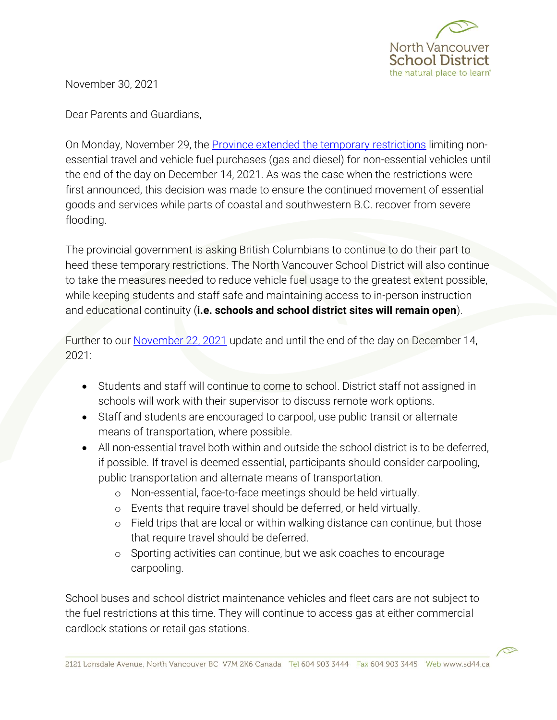

November 30, 2021

Dear Parents and Guardians,

On Monday, November 29, the **Province extended the temporary restrictions** limiting nonessential travel and vehicle fuel purchases (gas and diesel) for non-essential vehicles until the end of the day on December 14, 2021. As was the case when the restrictions were first announced, this decision was made to ensure the continued movement of essential goods and services while parts of coastal and southwestern B.C. recover from severe flooding.

The provincial government is asking British Columbians to continue to do their part to heed these temporary restrictions. The North Vancouver School District will also continue to take the measures needed to reduce vehicle fuel usage to the greatest extent possible, while keeping students and staff safe and maintaining access to in-person instruction and educational continuity (**i.e. schools and school district sites will remain open**).

Further to our [November 22, 2021](https://www.sd44.ca/Documents/Superintendent%27s%20Update%20to%20Parents%20and%20Guardians_20211122.pdf) update and until the end of the day on December 14, 2021:

- Students and staff will continue to come to school. District staff not assigned in schools will work with their supervisor to discuss remote work options.
- Staff and students are encouraged to carpool, use public transit or alternate means of transportation, where possible.
- All non-essential travel both within and outside the school district is to be deferred, if possible. If travel is deemed essential, participants should consider carpooling, public transportation and alternate means of transportation.
	- o Non-essential, face-to-face meetings should be held virtually.
	- o Events that require travel should be deferred, or held virtually.
	- o Field trips that are local or within walking distance can continue, but those that require travel should be deferred.
	- o Sporting activities can continue, but we ask coaches to encourage carpooling.

School buses and school district maintenance vehicles and fleet cars are not subject to the fuel restrictions at this time. They will continue to access gas at either commercial cardlock stations or retail gas stations.